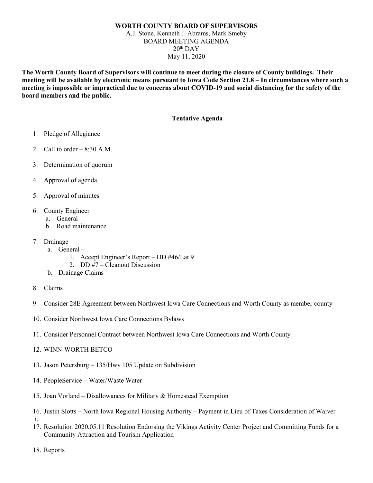## **WORTH COUNTY BOARD OF SUPERVISORS** A.J. Stone, Kenneth J. Abrams, Mark Smeby BOARD MEETING AGENDA  $20<sup>th</sup>$  DAY May 11, 2020

**The Worth County Board of Supervisors will continue to meet during the closure of County buildings. Their meeting will be available by electronic means pursuant to Iowa Code Section 21.8 – In circumstances where such a meeting is impossible or impractical due to concerns about COVID-19 and social distancing for the safety of the board members and the public.** 

**\_\_\_\_\_\_\_\_\_\_\_\_\_\_\_\_\_\_\_\_\_\_\_\_\_\_\_\_\_\_\_\_\_\_\_\_\_\_\_\_\_\_\_\_\_\_\_\_\_\_\_\_\_\_\_\_\_\_\_\_\_\_\_\_\_\_\_\_\_\_\_\_\_\_\_\_\_\_\_\_\_\_\_\_\_\_\_\_\_\_\_\_\_\_\_\_\_**

## **Tentative Agenda**

- 1. Pledge of Allegiance
- 2. Call to order  $-8:30$  A.M.
- 3. Determination of quorum
- 4. Approval of agenda
- 5. Approval of minutes
- 6. County Engineer
	- a. General
		- b. Road maintenance
- 7. Drainage
	- a. General
		- 1. Accept Engineer's Report DD #46/Lat 9
		- 2. DD #7 Cleanout Discussion
	- b. Drainage Claims
- 8. Claims
- 9. Consider 28E Agreement between Northwest Iowa Care Connections and Worth County as member county
- 10. Consider Northwest Iowa Care Connections Bylaws
- 11. Consider Personnel Contract between Northwest Iowa Care Connections and Worth County
- 12. WINN-WORTH BETCO
- 13. Jason Petersburg 135/Hwy 105 Update on Subdivision
- 14. PeopleService Water/Waste Water
- 15. Joan Vorland Disallowances for Military & Homestead Exemption
- 16. Justin Slotts North Iowa Regional Housing Authority Payment in Lieu of Taxes Consideration of Waiver i.
- 17. Resolution 2020.05.11 Resolution Endorsing the Vikings Activity Center Project and Committing Funds for a Community Attraction and Tourism Application

18. Reports